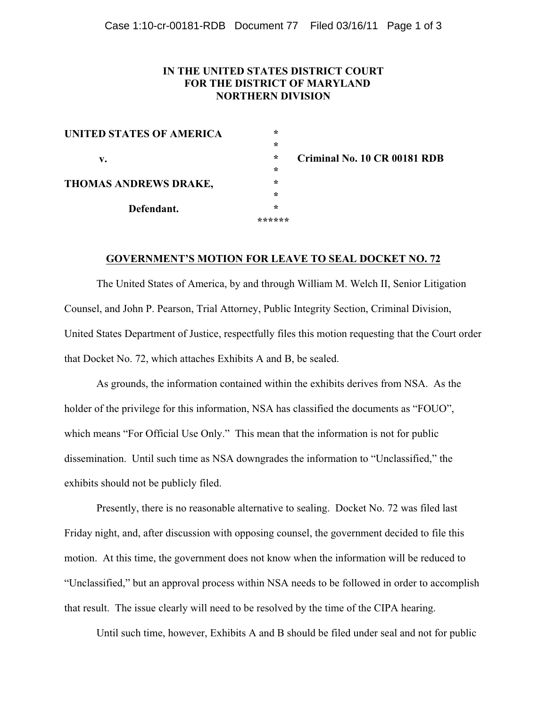## **IN THE UNITED STATES DISTRICT COURT FOR THE DISTRICT OF MARYLAND NORTHERN DIVISION**

| UNITED STATES OF AMERICA | $\ast$ |
|--------------------------|--------|
|                          | $\ast$ |
| v.                       | $\ast$ |
|                          | $\ast$ |
| THOMAS ANDREWS DRAKE,    | ∗      |
|                          | ∗      |
| Defendant.               | ∗      |
|                          | ****** |

**Criminal No. 10 CR 00181 RDB**

#### **GOVERNMENT'S MOTION FOR LEAVE TO SEAL DOCKET NO. 72**

The United States of America, by and through William M. Welch II, Senior Litigation Counsel, and John P. Pearson, Trial Attorney, Public Integrity Section, Criminal Division, United States Department of Justice, respectfully files this motion requesting that the Court order that Docket No. 72, which attaches Exhibits A and B, be sealed.

As grounds, the information contained within the exhibits derives from NSA. As the holder of the privilege for this information, NSA has classified the documents as "FOUO", which means "For Official Use Only." This mean that the information is not for public dissemination. Until such time as NSA downgrades the information to "Unclassified," the exhibits should not be publicly filed.

Presently, there is no reasonable alternative to sealing. Docket No. 72 was filed last Friday night, and, after discussion with opposing counsel, the government decided to file this motion. At this time, the government does not know when the information will be reduced to "Unclassified," but an approval process within NSA needs to be followed in order to accomplish that result. The issue clearly will need to be resolved by the time of the CIPA hearing.

Until such time, however, Exhibits A and B should be filed under seal and not for public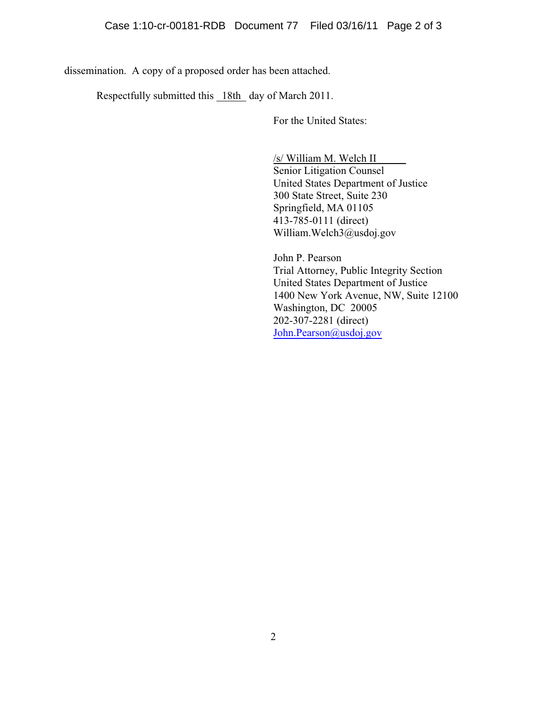dissemination. A copy of a proposed order has been attached.

Respectfully submitted this 18th day of March 2011.

For the United States:

/s/ William M. Welch II

Senior Litigation Counsel United States Department of Justice 300 State Street, Suite 230 Springfield, MA 01105 413-785-0111 (direct) William.Welch3@usdoj.gov

John P. Pearson Trial Attorney, Public Integrity Section United States Department of Justice 1400 New York Avenue, NW, Suite 12100 Washington, DC 20005 202-307-2281 (direct) [John.Pearson@usdoj.gov](mailto:John.Pearson@usdoj.gov)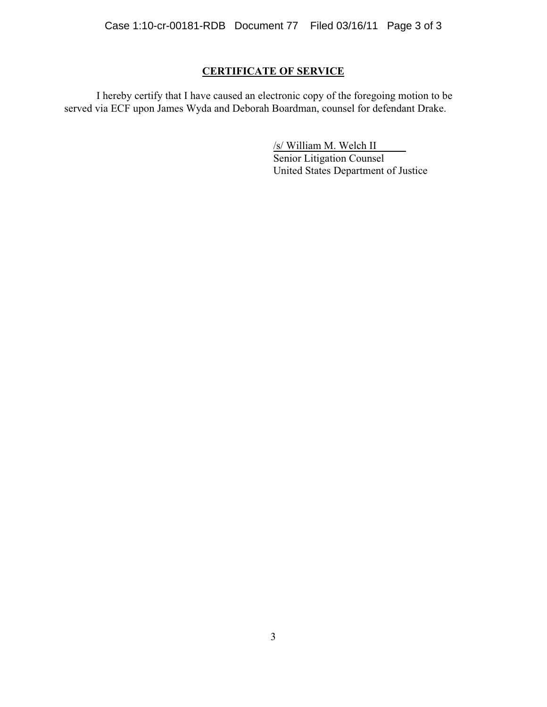# **CERTIFICATE OF SERVICE**

I hereby certify that I have caused an electronic copy of the foregoing motion to be served via ECF upon James Wyda and Deborah Boardman, counsel for defendant Drake.

> /s/ William M. Welch II Senior Litigation Counsel United States Department of Justice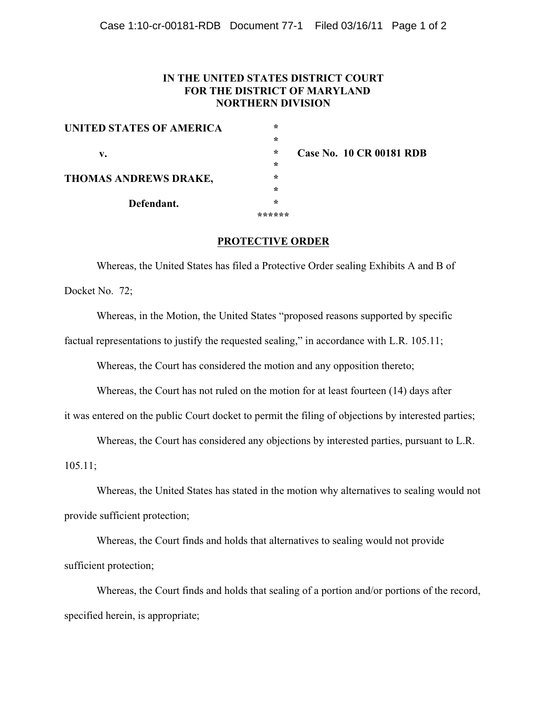## **IN THE UNITED STATES DISTRICT COURT FOR THE DISTRICT OF MARYLAND NORTHERN DIVISION**

| UNITED STATES OF AMERICA | $\star$ |                                 |
|--------------------------|---------|---------------------------------|
|                          | $\ast$  |                                 |
| v.                       | $\ast$  | <b>Case No. 10 CR 00181 RDB</b> |
|                          | $\star$ |                                 |
| THOMAS ANDREWS DRAKE,    | $\ast$  |                                 |
|                          | $\ast$  |                                 |
| Defendant.               | $\ast$  |                                 |
|                          |         |                                 |
|                          |         |                                 |

### **PROTECTIVE ORDER**

Whereas, the United States has filed a Protective Order sealing Exhibits A and B of Docket No. 72;

Whereas, in the Motion, the United States "proposed reasons supported by specific factual representations to justify the requested sealing," in accordance with L.R. 105.11;

Whereas, the Court has considered the motion and any opposition thereto;

Whereas, the Court has not ruled on the motion for at least fourteen (14) days after

it was entered on the public Court docket to permit the filing of objections by interested parties;

Whereas, the Court has considered any objections by interested parties, pursuant to L.R.

105.11;

Whereas, the United States has stated in the motion why alternatives to sealing would not provide sufficient protection;

Whereas, the Court finds and holds that alternatives to sealing would not provide sufficient protection;

Whereas, the Court finds and holds that sealing of a portion and/or portions of the record, specified herein, is appropriate;